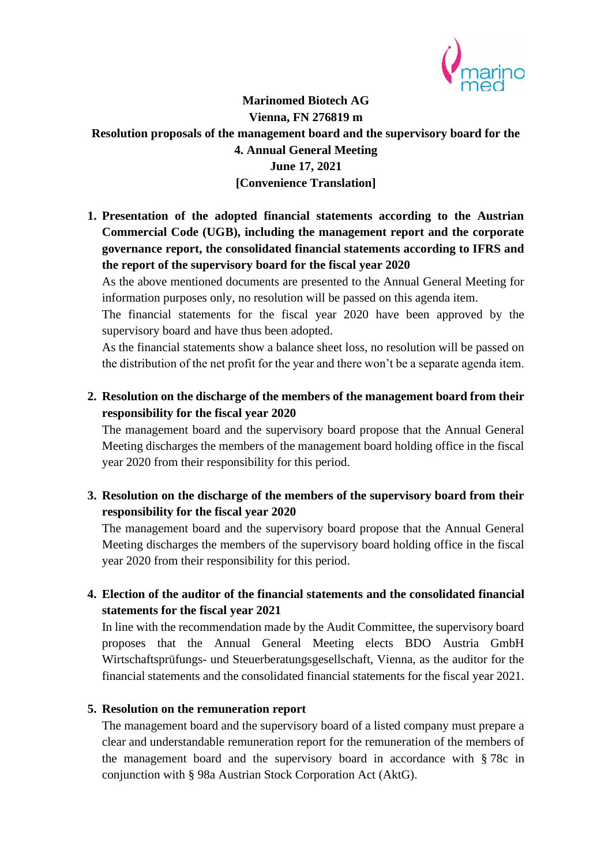

## **Marinomed Biotech AG Vienna, FN 276819 m Resolution proposals of the management board and the supervisory board for the 4. Annual General Meeting June 17, 2021 [Convenience Translation]**

**1. Presentation of the adopted financial statements according to the Austrian Commercial Code (UGB), including the management report and the corporate governance report, the consolidated financial statements according to IFRS and the report of the supervisory board for the fiscal year 2020**

As the above mentioned documents are presented to the Annual General Meeting for information purposes only, no resolution will be passed on this agenda item.

The financial statements for the fiscal year 2020 have been approved by the supervisory board and have thus been adopted.

As the financial statements show a balance sheet loss, no resolution will be passed on the distribution of the net profit for the year and there won't be a separate agenda item.

**2. Resolution on the discharge of the members of the management board from their responsibility for the fiscal year 2020**

The management board and the supervisory board propose that the Annual General Meeting discharges the members of the management board holding office in the fiscal year 2020 from their responsibility for this period.

**3. Resolution on the discharge of the members of the supervisory board from their responsibility for the fiscal year 2020**

The management board and the supervisory board propose that the Annual General Meeting discharges the members of the supervisory board holding office in the fiscal year 2020 from their responsibility for this period.

**4. Election of the auditor of the financial statements and the consolidated financial statements for the fiscal year 2021**

In line with the recommendation made by the Audit Committee, the supervisory board proposes that the Annual General Meeting elects BDO Austria GmbH Wirtschaftsprüfungs- und Steuerberatungsgesellschaft, Vienna, as the auditor for the financial statements and the consolidated financial statements for the fiscal year 2021.

## **5. Resolution on the remuneration report**

The management board and the supervisory board of a listed company must prepare a clear and understandable remuneration report for the remuneration of the members of the management board and the supervisory board in accordance with § 78c in conjunction with § 98a Austrian Stock Corporation Act (AktG).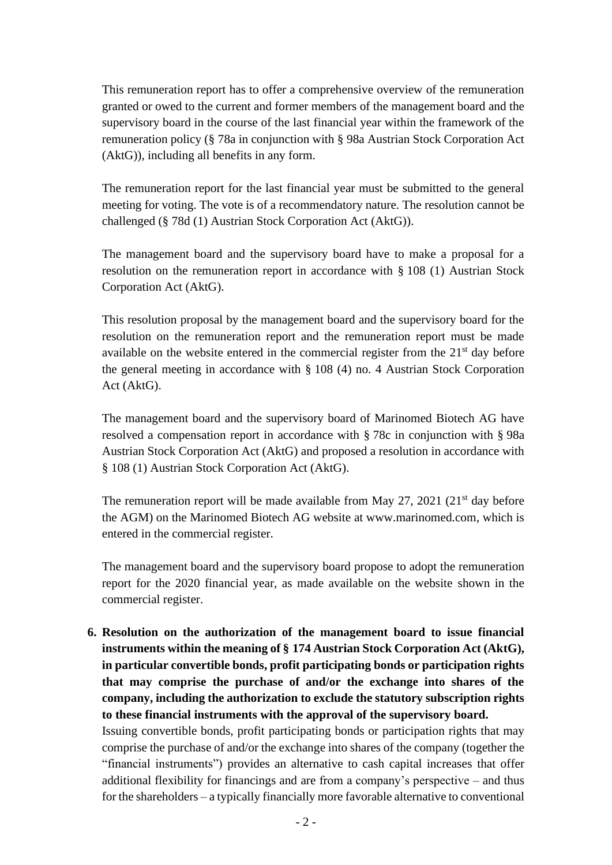This remuneration report has to offer a comprehensive overview of the remuneration granted or owed to the current and former members of the management board and the supervisory board in the course of the last financial year within the framework of the remuneration policy (§ 78a in conjunction with § 98a Austrian Stock Corporation Act (AktG)), including all benefits in any form.

The remuneration report for the last financial year must be submitted to the general meeting for voting. The vote is of a recommendatory nature. The resolution cannot be challenged (§ 78d (1) Austrian Stock Corporation Act (AktG)).

The management board and the supervisory board have to make a proposal for a resolution on the remuneration report in accordance with § 108 (1) Austrian Stock Corporation Act (AktG).

This resolution proposal by the management board and the supervisory board for the resolution on the remuneration report and the remuneration report must be made available on the website entered in the commercial register from the  $21<sup>st</sup>$  day before the general meeting in accordance with § 108 (4) no. 4 Austrian Stock Corporation Act (AktG).

The management board and the supervisory board of Marinomed Biotech AG have resolved a compensation report in accordance with § 78c in conjunction with § 98a Austrian Stock Corporation Act (AktG) and proposed a resolution in accordance with § 108 (1) Austrian Stock Corporation Act (AktG).

The remuneration report will be made available from May 27, 2021 ( $21<sup>st</sup>$  day before the AGM) on the Marinomed Biotech AG website at www.marinomed.com, which is entered in the commercial register.

The management board and the supervisory board propose to adopt the remuneration report for the 2020 financial year, as made available on the website shown in the commercial register.

**6. Resolution on the authorization of the management board to issue financial instruments within the meaning of § 174 Austrian Stock Corporation Act (AktG), in particular convertible bonds, profit participating bonds or participation rights that may comprise the purchase of and/or the exchange into shares of the company, including the authorization to exclude the statutory subscription rights to these financial instruments with the approval of the supervisory board.**

Issuing convertible bonds, profit participating bonds or participation rights that may comprise the purchase of and/or the exchange into shares of the company (together the "financial instruments") provides an alternative to cash capital increases that offer additional flexibility for financings and are from a company's perspective – and thus for the shareholders – a typically financially more favorable alternative to conventional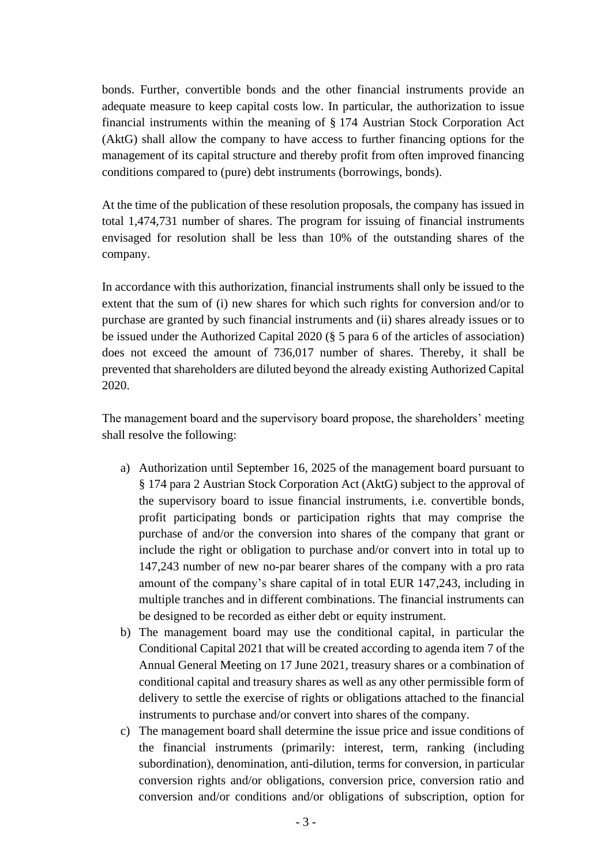bonds. Further, convertible bonds and the other financial instruments provide an adequate measure to keep capital costs low. In particular, the authorization to issue financial instruments within the meaning of § 174 Austrian Stock Corporation Act (AktG) shall allow the company to have access to further financing options for the management of its capital structure and thereby profit from often improved financing conditions compared to (pure) debt instruments (borrowings, bonds).

At the time of the publication of these resolution proposals, the company has issued in total 1,474,731 number of shares. The program for issuing of financial instruments envisaged for resolution shall be less than 10% of the outstanding shares of the company.

In accordance with this authorization, financial instruments shall only be issued to the extent that the sum of (i) new shares for which such rights for conversion and/or to purchase are granted by such financial instruments and (ii) shares already issues or to be issued under the Authorized Capital 2020 (§ 5 para 6 of the articles of association) does not exceed the amount of 736,017 number of shares. Thereby, it shall be prevented that shareholders are diluted beyond the already existing Authorized Capital 2020.

The management board and the supervisory board propose, the shareholders' meeting shall resolve the following:

- a) Authorization until September 16, 2025 of the management board pursuant to § 174 para 2 Austrian Stock Corporation Act (AktG) subject to the approval of the supervisory board to issue financial instruments, i.e. convertible bonds, profit participating bonds or participation rights that may comprise the purchase of and/or the conversion into shares of the company that grant or include the right or obligation to purchase and/or convert into in total up to 147,243 number of new no-par bearer shares of the company with a pro rata amount of the company's share capital of in total EUR 147,243, including in multiple tranches and in different combinations. The financial instruments can be designed to be recorded as either debt or equity instrument.
- b) The management board may use the conditional capital, in particular the Conditional Capital 2021 that will be created according to agenda item 7 of the Annual General Meeting on 17 June 2021, treasury shares or a combination of conditional capital and treasury shares as well as any other permissible form of delivery to settle the exercise of rights or obligations attached to the financial instruments to purchase and/or convert into shares of the company.
- c) The management board shall determine the issue price and issue conditions of the financial instruments (primarily: interest, term, ranking (including subordination), denomination, anti-dilution, terms for conversion, in particular conversion rights and/or obligations, conversion price, conversion ratio and conversion and/or conditions and/or obligations of subscription, option for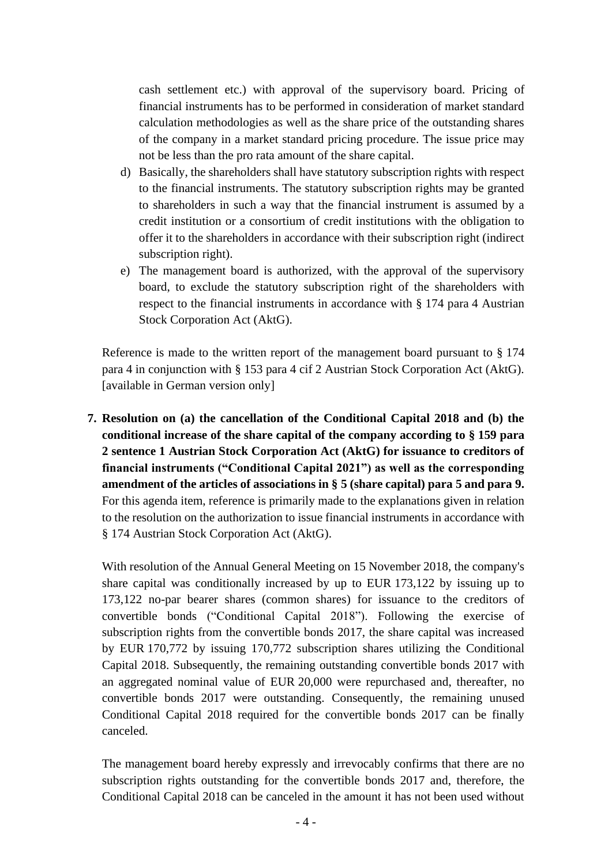cash settlement etc.) with approval of the supervisory board. Pricing of financial instruments has to be performed in consideration of market standard calculation methodologies as well as the share price of the outstanding shares of the company in a market standard pricing procedure. The issue price may not be less than the pro rata amount of the share capital.

- d) Basically, the shareholders shall have statutory subscription rights with respect to the financial instruments. The statutory subscription rights may be granted to shareholders in such a way that the financial instrument is assumed by a credit institution or a consortium of credit institutions with the obligation to offer it to the shareholders in accordance with their subscription right (indirect subscription right).
- e) The management board is authorized, with the approval of the supervisory board, to exclude the statutory subscription right of the shareholders with respect to the financial instruments in accordance with § 174 para 4 Austrian Stock Corporation Act (AktG).

Reference is made to the written report of the management board pursuant to § 174 para 4 in conjunction with § 153 para 4 cif 2 Austrian Stock Corporation Act (AktG). [available in German version only]

**7. Resolution on (a) the cancellation of the Conditional Capital 2018 and (b) the conditional increase of the share capital of the company according to § 159 para 2 sentence 1 Austrian Stock Corporation Act (AktG) for issuance to creditors of financial instruments ("Conditional Capital 2021") as well as the corresponding amendment of the articles of associations in § 5 (share capital) para 5 and para 9.** For this agenda item, reference is primarily made to the explanations given in relation to the resolution on the authorization to issue financial instruments in accordance with § 174 Austrian Stock Corporation Act (AktG).

With resolution of the Annual General Meeting on 15 November 2018, the company's share capital was conditionally increased by up to EUR 173,122 by issuing up to 173,122 no-par bearer shares (common shares) for issuance to the creditors of convertible bonds ("Conditional Capital 2018"). Following the exercise of subscription rights from the convertible bonds 2017, the share capital was increased by EUR 170,772 by issuing 170,772 subscription shares utilizing the Conditional Capital 2018. Subsequently, the remaining outstanding convertible bonds 2017 with an aggregated nominal value of EUR 20,000 were repurchased and, thereafter, no convertible bonds 2017 were outstanding. Consequently, the remaining unused Conditional Capital 2018 required for the convertible bonds 2017 can be finally canceled.

The management board hereby expressly and irrevocably confirms that there are no subscription rights outstanding for the convertible bonds 2017 and, therefore, the Conditional Capital 2018 can be canceled in the amount it has not been used without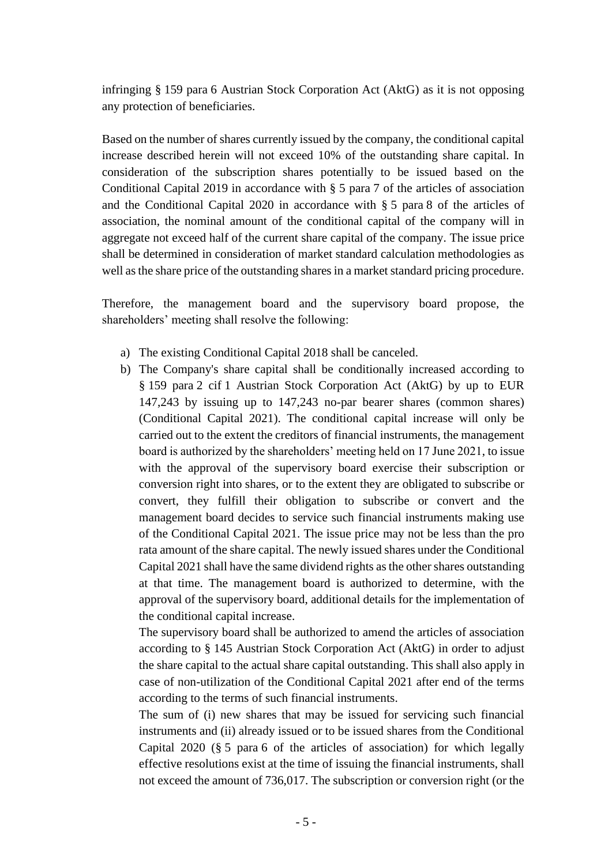infringing § 159 para 6 Austrian Stock Corporation Act (AktG) as it is not opposing any protection of beneficiaries.

Based on the number of shares currently issued by the company, the conditional capital increase described herein will not exceed 10% of the outstanding share capital. In consideration of the subscription shares potentially to be issued based on the Conditional Capital 2019 in accordance with § 5 para 7 of the articles of association and the Conditional Capital 2020 in accordance with § 5 para 8 of the articles of association, the nominal amount of the conditional capital of the company will in aggregate not exceed half of the current share capital of the company. The issue price shall be determined in consideration of market standard calculation methodologies as well as the share price of the outstanding shares in a market standard pricing procedure.

Therefore, the management board and the supervisory board propose, the shareholders' meeting shall resolve the following:

- a) The existing Conditional Capital 2018 shall be canceled.
- b) The Company's share capital shall be conditionally increased according to § 159 para 2 cif 1 Austrian Stock Corporation Act (AktG) by up to EUR 147,243 by issuing up to 147,243 no-par bearer shares (common shares) (Conditional Capital 2021). The conditional capital increase will only be carried out to the extent the creditors of financial instruments, the management board is authorized by the shareholders' meeting held on 17 June 2021, to issue with the approval of the supervisory board exercise their subscription or conversion right into shares, or to the extent they are obligated to subscribe or convert, they fulfill their obligation to subscribe or convert and the management board decides to service such financial instruments making use of the Conditional Capital 2021. The issue price may not be less than the pro rata amount of the share capital. The newly issued shares under the Conditional Capital 2021 shall have the same dividend rights as the other shares outstanding at that time. The management board is authorized to determine, with the approval of the supervisory board, additional details for the implementation of the conditional capital increase.

The supervisory board shall be authorized to amend the articles of association according to § 145 Austrian Stock Corporation Act (AktG) in order to adjust the share capital to the actual share capital outstanding. This shall also apply in case of non-utilization of the Conditional Capital 2021 after end of the terms according to the terms of such financial instruments.

The sum of (i) new shares that may be issued for servicing such financial instruments and (ii) already issued or to be issued shares from the Conditional Capital 2020 (§ 5 para 6 of the articles of association) for which legally effective resolutions exist at the time of issuing the financial instruments, shall not exceed the amount of 736,017. The subscription or conversion right (or the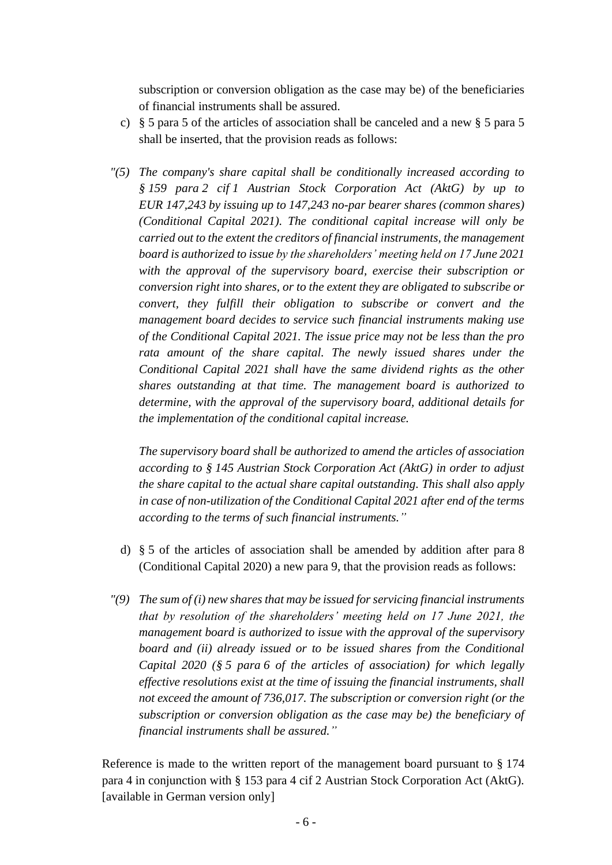subscription or conversion obligation as the case may be) of the beneficiaries of financial instruments shall be assured.

- c) § 5 para 5 of the articles of association shall be canceled and a new § 5 para 5 shall be inserted, that the provision reads as follows:
- *"(5) The company's share capital shall be conditionally increased according to § 159 para 2 cif 1 Austrian Stock Corporation Act (AktG) by up to EUR 147,243 by issuing up to 147,243 no-par bearer shares (common shares) (Conditional Capital 2021). The conditional capital increase will only be carried out to the extent the creditors of financial instruments, the management board is authorized to issue by the shareholders' meeting held on 17 June 2021 with the approval of the supervisory board, exercise their subscription or conversion right into shares, or to the extent they are obligated to subscribe or convert, they fulfill their obligation to subscribe or convert and the management board decides to service such financial instruments making use of the Conditional Capital 2021. The issue price may not be less than the pro*  rata amount of the share capital. The newly issued shares under the *Conditional Capital 2021 shall have the same dividend rights as the other shares outstanding at that time. The management board is authorized to determine, with the approval of the supervisory board, additional details for the implementation of the conditional capital increase.*

*The supervisory board shall be authorized to amend the articles of association according to § 145 Austrian Stock Corporation Act (AktG) in order to adjust the share capital to the actual share capital outstanding. This shall also apply in case of non-utilization of the Conditional Capital 2021 after end of the terms according to the terms of such financial instruments."*

- d) § 5 of the articles of association shall be amended by addition after para 8 (Conditional Capital 2020) a new para 9, that the provision reads as follows:
- *"(9) The sum of (i) new shares that may be issued for servicing financial instruments that by resolution of the shareholders' meeting held on 17 June 2021, the management board is authorized to issue with the approval of the supervisory board and (ii) already issued or to be issued shares from the Conditional Capital 2020 (§ 5 para 6 of the articles of association) for which legally effective resolutions exist at the time of issuing the financial instruments, shall not exceed the amount of 736,017. The subscription or conversion right (or the subscription or conversion obligation as the case may be) the beneficiary of financial instruments shall be assured."*

Reference is made to the written report of the management board pursuant to § 174 para 4 in conjunction with § 153 para 4 cif 2 Austrian Stock Corporation Act (AktG). [available in German version only]